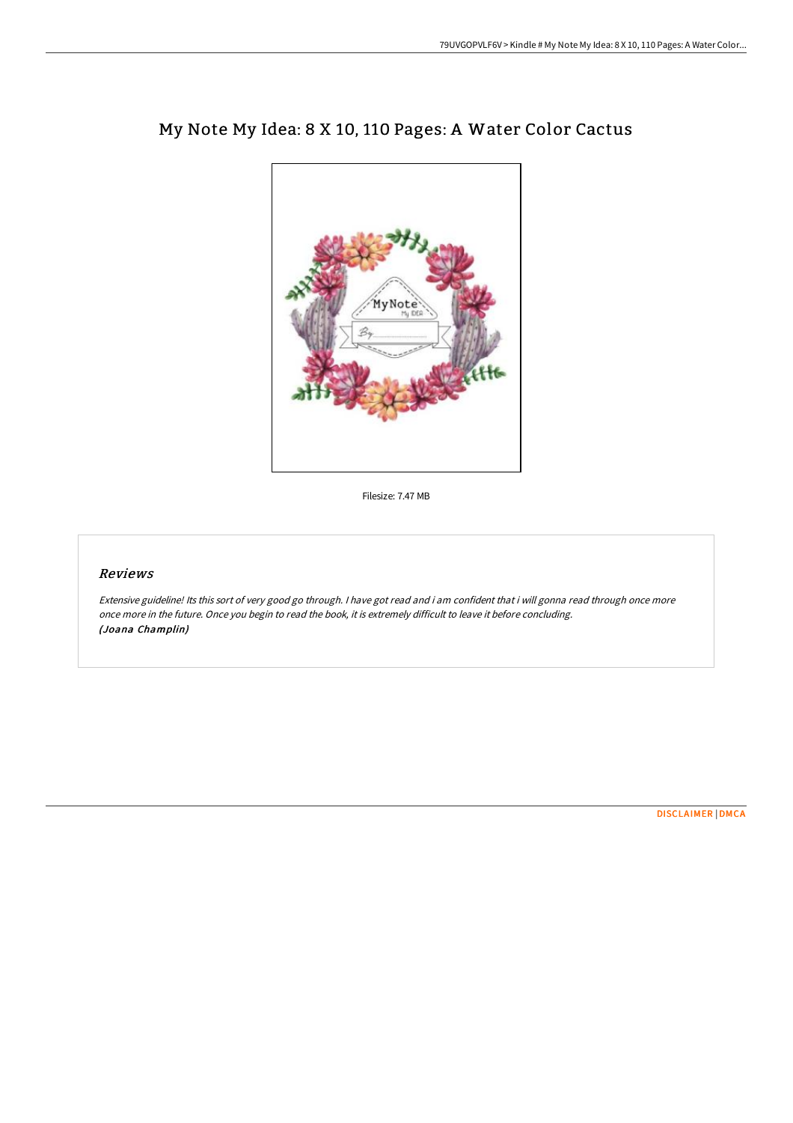

# My Note My Idea: 8 X 10, 110 Pages: A Water Color Cactus

Filesize: 7.47 MB

## Reviews

Extensive guideline! Its this sort of very good go through. <sup>I</sup> have got read and i am confident that i will gonna read through once more once more in the future. Once you begin to read the book, it is extremely difficult to leave it before concluding. (Joana Champlin)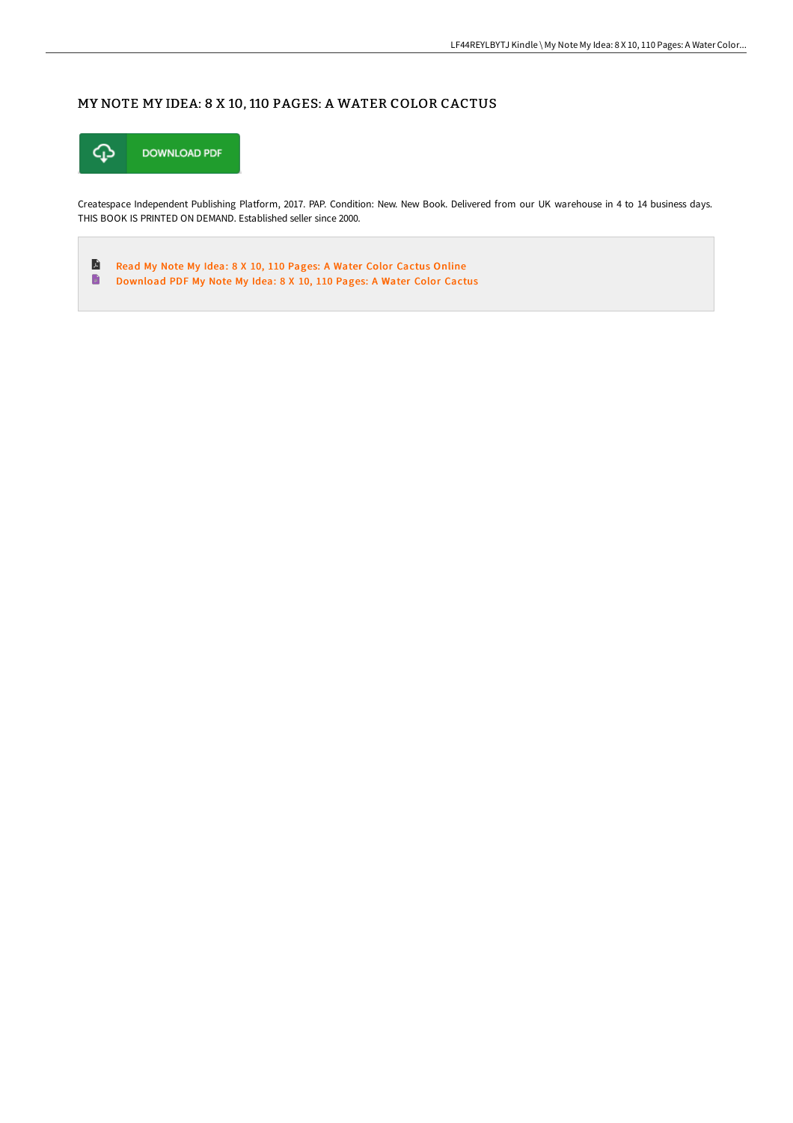## MY NOTE MY IDEA: 8 X 10, 110 PAGES: A WATER COLOR CACTUS



Createspace Independent Publishing Platform, 2017. PAP. Condition: New. New Book. Delivered from our UK warehouse in 4 to 14 business days. THIS BOOK IS PRINTED ON DEMAND. Established seller since 2000.

 $\blacksquare$ Read My Note My Idea: 8 X 10, 110 Pages: A Water Color [Cactus](http://bookera.tech/my-note-my-idea-8-x-10-110-pages-a-water-color-c.html) Online  $\blacksquare$ [Download](http://bookera.tech/my-note-my-idea-8-x-10-110-pages-a-water-color-c.html) PDF My Note My Idea: 8 X 10, 110 Pages: A Water Color Cactus